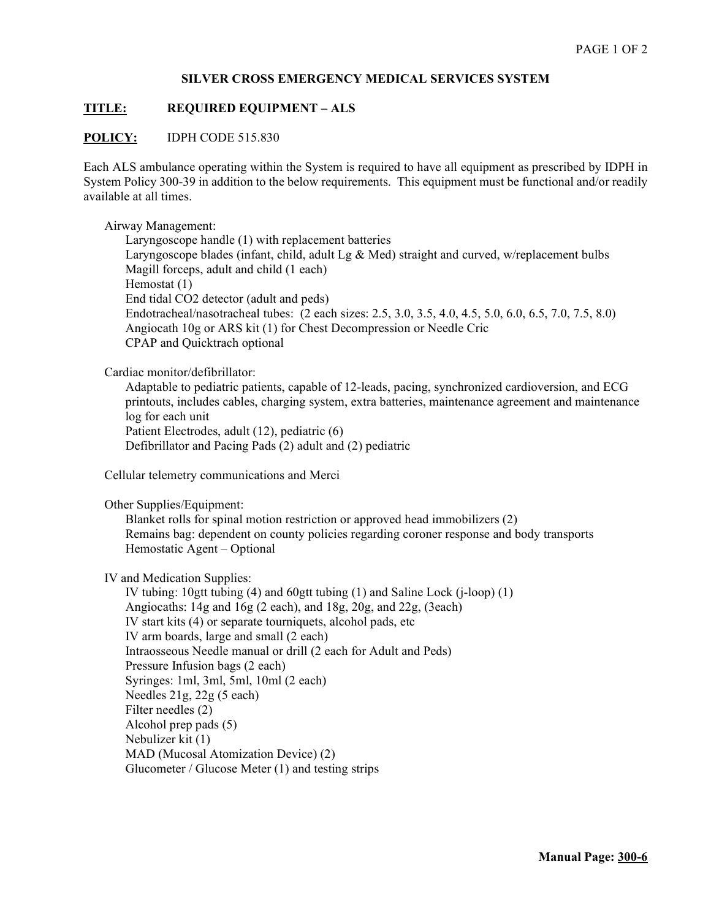### **SILVER CROSS EMERGENCY MEDICAL SERVICES SYSTEM**

## **TITLE: REQUIRED EQUIPMENT – ALS**

#### **POLICY:** IDPH CODE 515.830

Each ALS ambulance operating within the System is required to have all equipment as prescribed by IDPH in System Policy 300-39 in addition to the below requirements. This equipment must be functional and/or readily available at all times.

#### Airway Management:

Laryngoscope handle (1) with replacement batteries Laryngoscope blades (infant, child, adult Lg & Med) straight and curved, w/replacement bulbs Magill forceps, adult and child (1 each) Hemostat (1) End tidal CO2 detector (adult and peds) Endotracheal/nasotracheal tubes: (2 each sizes: 2.5, 3.0, 3.5, 4.0, 4.5, 5.0, 6.0, 6.5, 7.0, 7.5, 8.0) Angiocath 10g or ARS kit (1) for Chest Decompression or Needle Cric CPAP and Quicktrach optional

Cardiac monitor/defibrillator:

Adaptable to pediatric patients, capable of 12-leads, pacing, synchronized cardioversion, and ECG printouts, includes cables, charging system, extra batteries, maintenance agreement and maintenance log for each unit Patient Electrodes, adult (12), pediatric (6)

Defibrillator and Pacing Pads (2) adult and (2) pediatric

Cellular telemetry communications and Merci

Other Supplies/Equipment:

Blanket rolls for spinal motion restriction or approved head immobilizers (2) Remains bag: dependent on county policies regarding coroner response and body transports Hemostatic Agent – Optional

IV and Medication Supplies:

IV tubing: 10gtt tubing (4) and 60gtt tubing (1) and Saline Lock (j-loop) (1) Angiocaths: 14g and 16g (2 each), and 18g, 20g, and 22g, (3each) IV start kits (4) or separate tourniquets, alcohol pads, etc IV arm boards, large and small (2 each) Intraosseous Needle manual or drill (2 each for Adult and Peds) Pressure Infusion bags (2 each) Syringes: 1ml, 3ml, 5ml, 10ml (2 each) Needles 21g, 22g (5 each) Filter needles (2) Alcohol prep pads (5) Nebulizer kit (1) MAD (Mucosal Atomization Device) (2) Glucometer / Glucose Meter (1) and testing strips